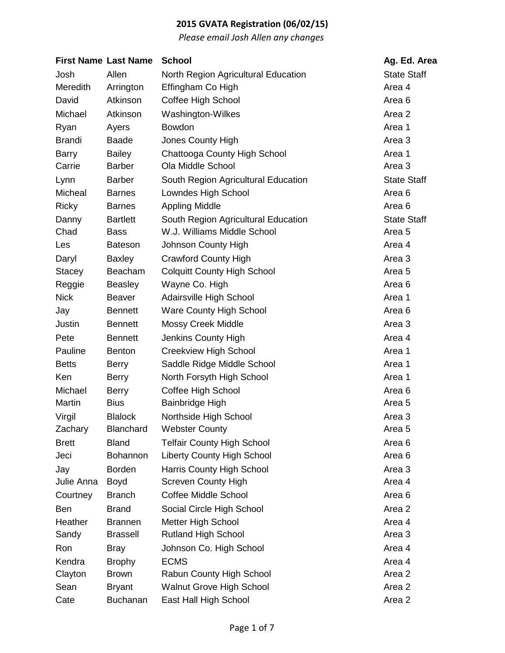|               | <b>First Name Last Name</b> | <b>School</b>                       | Ag. Ed. Area       |
|---------------|-----------------------------|-------------------------------------|--------------------|
| Josh          | Allen                       | North Region Agricultural Education | <b>State Staff</b> |
| Meredith      | Arrington                   | Effingham Co High                   | Area 4             |
| David         | Atkinson                    | Coffee High School                  | Area <sub>6</sub>  |
| Michael       | Atkinson                    | Washington-Wilkes                   | Area 2             |
| Ryan          | Ayers                       | Bowdon                              | Area 1             |
| <b>Brandi</b> | <b>Baade</b>                | Jones County High                   | Area 3             |
| <b>Barry</b>  | <b>Bailey</b>               | Chattooga County High School        | Area 1             |
| Carrie        | <b>Barber</b>               | Ola Middle School                   | Area 3             |
| Lynn          | <b>Barber</b>               | South Region Agricultural Education | <b>State Staff</b> |
| Micheal       | <b>Barnes</b>               | Lowndes High School                 | Area <sub>6</sub>  |
| <b>Ricky</b>  | <b>Barnes</b>               | <b>Appling Middle</b>               | Area 6             |
| Danny         | <b>Bartlett</b>             | South Region Agricultural Education | <b>State Staff</b> |
| Chad          | <b>Bass</b>                 | W.J. Williams Middle School         | Area <sub>5</sub>  |
| Les           | <b>Bateson</b>              | Johnson County High                 | Area 4             |
| Daryl         | <b>Baxley</b>               | <b>Crawford County High</b>         | Area 3             |
| <b>Stacey</b> | Beacham                     | <b>Colquitt County High School</b>  | Area 5             |
| Reggie        | <b>Beasley</b>              | Wayne Co. High                      | Area <sub>6</sub>  |
| <b>Nick</b>   | <b>Beaver</b>               | Adairsville High School             | Area 1             |
| Jay           | <b>Bennett</b>              | <b>Ware County High School</b>      | Area 6             |
| Justin        | <b>Bennett</b>              | <b>Mossy Creek Middle</b>           | Area 3             |
| Pete          | <b>Bennett</b>              | Jenkins County High                 | Area 4             |
| Pauline       | <b>Benton</b>               | <b>Creekview High School</b>        | Area 1             |
| <b>Betts</b>  | <b>Berry</b>                | Saddle Ridge Middle School          | Area 1             |
| Ken           | <b>Berry</b>                | North Forsyth High School           | Area 1             |
| Michael       | <b>Berry</b>                | Coffee High School                  | Area <sub>6</sub>  |
| Martin        | <b>Bius</b>                 | Bainbridge High                     | Area <sub>5</sub>  |
| Virgil        | <b>Blalock</b>              | Northside High School               | Area <sub>3</sub>  |
| Zachary       | <b>Blanchard</b>            | <b>Webster County</b>               | Area <sub>5</sub>  |
| <b>Brett</b>  | <b>Bland</b>                | <b>Telfair County High School</b>   | Area <sub>6</sub>  |
| Jeci          | Bohannon                    | <b>Liberty County High School</b>   | Area 6             |
| Jay           | <b>Borden</b>               | Harris County High School           | Area 3             |
| Julie Anna    | <b>Boyd</b>                 | <b>Screven County High</b>          | Area 4             |
| Courtney      | <b>Branch</b>               | <b>Coffee Middle School</b>         | Area 6             |
| <b>Ben</b>    | <b>Brand</b>                | Social Circle High School           | Area 2             |
| Heather       | <b>Brannen</b>              | Metter High School                  | Area 4             |
| Sandy         | <b>Brassell</b>             | <b>Rutland High School</b>          | Area 3             |
| Ron           | <b>Bray</b>                 | Johnson Co. High School             | Area 4             |
| Kendra        | <b>Brophy</b>               | <b>ECMS</b>                         | Area 4             |
| Clayton       | <b>Brown</b>                | Rabun County High School            | Area 2             |
| Sean          | <b>Bryant</b>               | <b>Walnut Grove High School</b>     | Area 2             |
| Cate          | <b>Buchanan</b>             | East Hall High School               | Area 2             |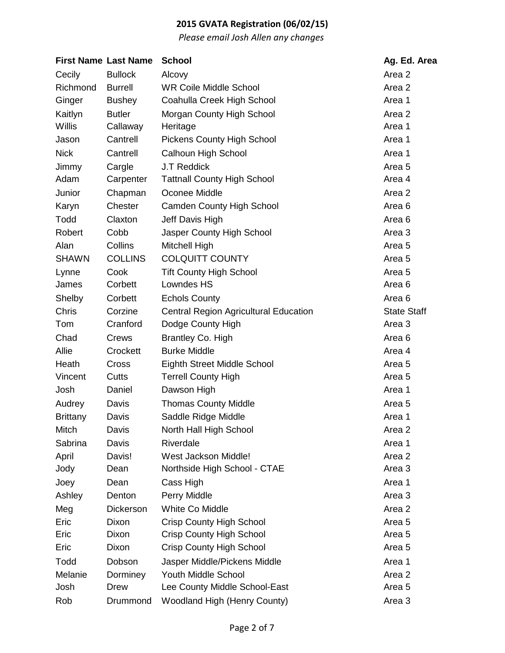|                 | <b>First Name Last Name</b> | <b>School</b>                                | Ag. Ed. Area       |
|-----------------|-----------------------------|----------------------------------------------|--------------------|
| Cecily          | <b>Bullock</b>              | Alcovy                                       | Area 2             |
| Richmond        | <b>Burrell</b>              | <b>WR Coile Middle School</b>                | Area 2             |
| Ginger          | <b>Bushey</b>               | Coahulla Creek High School                   | Area 1             |
| Kaitlyn         | <b>Butler</b>               | Morgan County High School                    | Area 2             |
| <b>Willis</b>   | Callaway                    | Heritage                                     | Area 1             |
| Jason           | Cantrell                    | <b>Pickens County High School</b>            | Area 1             |
| <b>Nick</b>     | Cantrell                    | Calhoun High School                          | Area 1             |
| Jimmy           | Cargle                      | <b>J.T Reddick</b>                           | Area <sub>5</sub>  |
| Adam            | Carpenter                   | <b>Tattnall County High School</b>           | Area 4             |
| Junior          | Chapman                     | Oconee Middle                                | Area 2             |
| Karyn           | Chester                     | <b>Camden County High School</b>             | Area 6             |
| Todd            | Claxton                     | Jeff Davis High                              | Area 6             |
| Robert          | Cobb                        | Jasper County High School                    | Area 3             |
| Alan            | Collins                     | Mitchell High                                | Area 5             |
| <b>SHAWN</b>    | <b>COLLINS</b>              | <b>COLQUITT COUNTY</b>                       | Area <sub>5</sub>  |
| Lynne           | Cook                        | <b>Tift County High School</b>               | Area <sub>5</sub>  |
| James           | Corbett                     | Lowndes HS                                   | Area 6             |
| Shelby          | Corbett                     | <b>Echols County</b>                         | Area <sub>6</sub>  |
| <b>Chris</b>    | Corzine                     | <b>Central Region Agricultural Education</b> | <b>State Staff</b> |
| Tom             | Cranford                    | Dodge County High                            | Area 3             |
| Chad            | Crews                       | Brantley Co. High                            | Area <sub>6</sub>  |
| Allie           | Crockett                    | <b>Burke Middle</b>                          | Area 4             |
| Heath           | Cross                       | <b>Eighth Street Middle School</b>           | Area 5             |
| Vincent         | Cutts                       | <b>Terrell County High</b>                   | Area 5             |
| Josh            | Daniel                      | Dawson High                                  | Area 1             |
| Audrey          | Davis                       | <b>Thomas County Middle</b>                  | Area <sub>5</sub>  |
| <b>Brittany</b> | Davis                       | Saddle Ridge Middle                          | Area 1             |
| Mitch           | Davis                       | North Hall High School                       | Area 2             |
| Sabrina         | Davis                       | Riverdale                                    | Area 1             |
| April           | Davis!                      | West Jackson Middle!                         | Area 2             |
| Jody            | Dean                        | Northside High School - CTAE                 | Area 3             |
| Joey            | Dean                        | Cass High                                    | Area 1             |
| Ashley          | Denton                      | Perry Middle                                 | Area 3             |
| Meg             | Dickerson                   | White Co Middle                              | Area 2             |
| Eric            | Dixon                       | <b>Crisp County High School</b>              | Area <sub>5</sub>  |
| Eric            | Dixon                       | <b>Crisp County High School</b>              | Area 5             |
| Eric            | Dixon                       | <b>Crisp County High School</b>              | Area 5             |
| Todd            | Dobson                      | Jasper Middle/Pickens Middle                 | Area 1             |
| Melanie         | Dorminey                    | <b>Youth Middle School</b>                   | Area 2             |
| Josh            | Drew                        | Lee County Middle School-East                | Area 5             |
| Rob             | Drummond                    | Woodland High (Henry County)                 | Area 3             |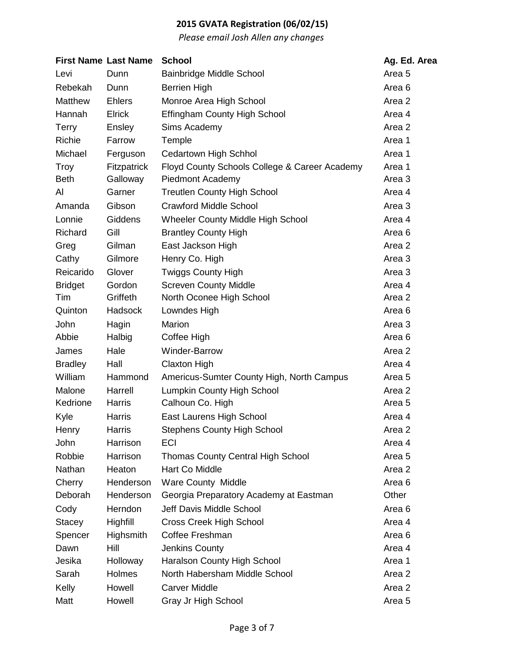|                | <b>First Name Last Name</b> | <b>School</b>                                 | Ag. Ed. Area      |
|----------------|-----------------------------|-----------------------------------------------|-------------------|
| Levi           | Dunn                        | <b>Bainbridge Middle School</b>               | Area <sub>5</sub> |
| Rebekah        | Dunn                        | <b>Berrien High</b>                           | Area 6            |
| <b>Matthew</b> | <b>Ehlers</b>               | Monroe Area High School                       | Area 2            |
| Hannah         | Elrick                      | <b>Effingham County High School</b>           | Area 4            |
| <b>Terry</b>   | Ensley                      | Sims Academy                                  | Area 2            |
| Richie         | Farrow                      | Temple                                        | Area 1            |
| Michael        | Ferguson                    | <b>Cedartown High Schhol</b>                  | Area 1            |
| Troy           | <b>Fitzpatrick</b>          | Floyd County Schools College & Career Academy | Area 1            |
| <b>Beth</b>    | Galloway                    | Piedmont Academy                              | Area 3            |
| Al             | Garner                      | <b>Treutlen County High School</b>            | Area 4            |
| Amanda         | Gibson                      | <b>Crawford Middle School</b>                 | Area 3            |
| Lonnie         | <b>Giddens</b>              | Wheeler County Middle High School             | Area 4            |
| Richard        | Gill                        | <b>Brantley County High</b>                   | Area 6            |
| Greg           | Gilman                      | East Jackson High                             | Area 2            |
| Cathy          | Gilmore                     | Henry Co. High                                | Area 3            |
| Reicarido      | Glover                      | <b>Twiggs County High</b>                     | Area <sub>3</sub> |
| <b>Bridget</b> | Gordon                      | <b>Screven County Middle</b>                  | Area 4            |
| Tim            | Griffeth                    | North Oconee High School                      | Area 2            |
| Quinton        | Hadsock                     | Lowndes High                                  | Area 6            |
| John           | Hagin                       | Marion                                        | Area 3            |
| Abbie          | Halbig                      | Coffee High                                   | Area 6            |
| James          | Hale                        | Winder-Barrow                                 | Area 2            |
| <b>Bradley</b> | Hall                        | <b>Claxton High</b>                           | Area 4            |
| William        | Hammond                     | Americus-Sumter County High, North Campus     | Area 5            |
| Malone         | Harrell                     | Lumpkin County High School                    | Area 2            |
| Kedrione       | Harris                      | Calhoun Co. High                              | Area <sub>5</sub> |
| Kyle           | Harris                      | East Laurens High School                      | Area 4            |
| Henry          | Harris                      | <b>Stephens County High School</b>            | Area 2            |
| John           | Harrison                    | <b>ECI</b>                                    | Area 4            |
| Robbie         | Harrison                    | Thomas County Central High School             | Area <sub>5</sub> |
| Nathan         | Heaton                      | Hart Co Middle                                | Area 2            |
| Cherry         | Henderson                   | <b>Ware County Middle</b>                     | Area <sub>6</sub> |
| Deborah        | Henderson                   | Georgia Preparatory Academy at Eastman        | Other             |
| Cody           | Herndon                     | Jeff Davis Middle School                      | Area 6            |
| <b>Stacey</b>  | Highfill                    | Cross Creek High School                       | Area 4            |
| Spencer        | Highsmith                   | Coffee Freshman                               | Area 6            |
| Dawn           | Hill                        | Jenkins County                                | Area 4            |
| Jesika         | Holloway                    | Haralson County High School                   | Area 1            |
| Sarah          | Holmes                      | North Habersham Middle School                 | Area 2            |
| Kelly          | Howell                      | <b>Carver Middle</b>                          | Area 2            |
| Matt           | Howell                      | Gray Jr High School                           | Area <sub>5</sub> |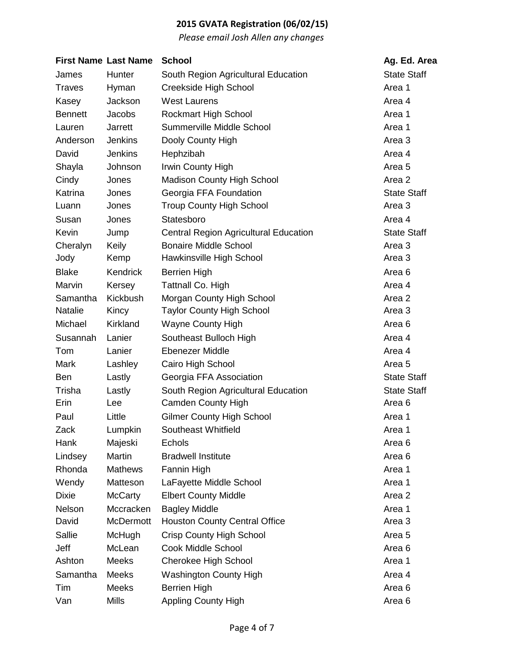| <b>First Name Last Name</b> |                  | <b>School</b>                                | Ag. Ed. Area       |
|-----------------------------|------------------|----------------------------------------------|--------------------|
| James                       | Hunter           | South Region Agricultural Education          | <b>State Staff</b> |
| <b>Traves</b>               | Hyman            | Creekside High School                        | Area 1             |
| Kasey                       | Jackson          | <b>West Laurens</b>                          | Area 4             |
| <b>Bennett</b>              | <b>Jacobs</b>    | <b>Rockmart High School</b>                  | Area 1             |
| Lauren                      | Jarrett          | Summerville Middle School                    | Area 1             |
| Anderson                    | <b>Jenkins</b>   | Dooly County High                            | Area 3             |
| David                       | <b>Jenkins</b>   | Hephzibah                                    | Area 4             |
| Shayla                      | Johnson          | Irwin County High                            | Area <sub>5</sub>  |
| Cindy                       | Jones            | Madison County High School                   | Area 2             |
| Katrina                     | Jones            | Georgia FFA Foundation                       | <b>State Staff</b> |
| Luann                       | Jones            | <b>Troup County High School</b>              | Area 3             |
| Susan                       | Jones            | Statesboro                                   | Area 4             |
| Kevin                       | Jump             | <b>Central Region Agricultural Education</b> | <b>State Staff</b> |
| Cheralyn                    | Keily            | <b>Bonaire Middle School</b>                 | Area 3             |
| Jody                        | Kemp             | Hawkinsville High School                     | Area 3             |
| <b>Blake</b>                | Kendrick         | <b>Berrien High</b>                          | Area <sub>6</sub>  |
| Marvin                      | Kersey           | Tattnall Co. High                            | Area 4             |
| Samantha                    | Kickbush         | Morgan County High School                    | Area 2             |
| Natalie                     | Kincy            | <b>Taylor County High School</b>             | Area 3             |
| Michael                     | Kirkland         | <b>Wayne County High</b>                     | Area 6             |
| Susannah                    | Lanier           | Southeast Bulloch High                       | Area 4             |
| Tom                         | Lanier           | <b>Ebenezer Middle</b>                       | Area 4             |
| Mark                        | Lashley          | Cairo High School                            | Area 5             |
| <b>Ben</b>                  | Lastly           | Georgia FFA Association                      | <b>State Staff</b> |
| Trisha                      | Lastly           | South Region Agricultural Education          | <b>State Staff</b> |
| Erin                        | Lee              | <b>Camden County High</b>                    | Area 6             |
| Paul                        | Little           | <b>Gilmer County High School</b>             | Area 1             |
| Zack                        | Lumpkin          | Southeast Whitfield                          | Area 1             |
| Hank                        | Majeski          | Echols                                       | Area <sub>6</sub>  |
| Lindsey                     | Martin           | <b>Bradwell Institute</b>                    | Area 6             |
| Rhonda                      | <b>Mathews</b>   | Fannin High                                  | Area 1             |
| Wendy                       | Matteson         | LaFayette Middle School                      | Area 1             |
| <b>Dixie</b>                | <b>McCarty</b>   | <b>Elbert County Middle</b>                  | Area 2             |
| Nelson                      | Mccracken        | <b>Bagley Middle</b>                         | Area 1             |
| David                       | <b>McDermott</b> | <b>Houston County Central Office</b>         | Area 3             |
| Sallie                      | McHugh           | <b>Crisp County High School</b>              | Area <sub>5</sub>  |
| Jeff                        | McLean           | <b>Cook Middle School</b>                    | Area 6             |
| Ashton                      | Meeks            | Cherokee High School                         | Area 1             |
| Samantha                    | <b>Meeks</b>     | <b>Washington County High</b>                | Area 4             |
| Tim                         | <b>Meeks</b>     | <b>Berrien High</b>                          | Area 6             |
| Van                         | <b>Mills</b>     | Appling County High                          | Area <sub>6</sub>  |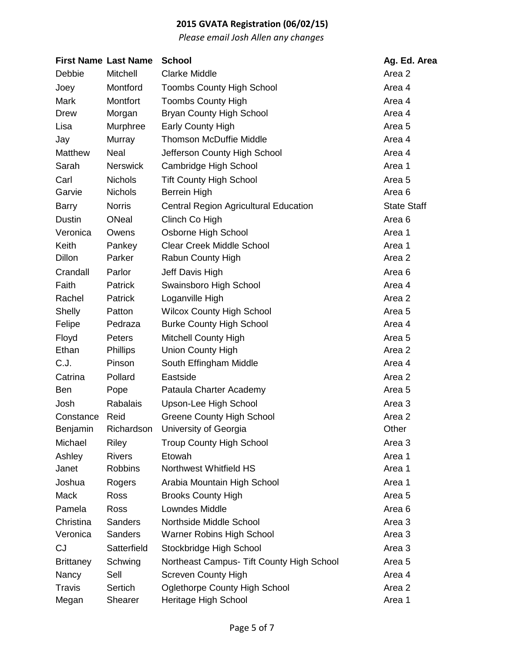|                  | <b>First Name Last Name</b> | <b>School</b>                                | Ag. Ed. Area       |
|------------------|-----------------------------|----------------------------------------------|--------------------|
| Debbie           | Mitchell                    | <b>Clarke Middle</b>                         | Area 2             |
| Joey             | Montford                    | <b>Toombs County High School</b>             | Area 4             |
| <b>Mark</b>      | Montfort                    | <b>Toombs County High</b>                    | Area 4             |
| <b>Drew</b>      | Morgan                      | <b>Bryan County High School</b>              | Area 4             |
| Lisa             | Murphree                    | <b>Early County High</b>                     | Area 5             |
| Jay              | Murray                      | <b>Thomson McDuffie Middle</b>               | Area 4             |
| Matthew          | Neal                        | Jefferson County High School                 | Area 4             |
| Sarah            | <b>Nerswick</b>             | Cambridge High School                        | Area 1             |
| Carl             | <b>Nichols</b>              | <b>Tift County High School</b>               | Area 5             |
| Garvie           | <b>Nichols</b>              | <b>Berrein High</b>                          | Area 6             |
| <b>Barry</b>     | <b>Norris</b>               | <b>Central Region Agricultural Education</b> | <b>State Staff</b> |
| <b>Dustin</b>    | <b>ONeal</b>                | Clinch Co High                               | Area <sub>6</sub>  |
| Veronica         | Owens                       | Osborne High School                          | Area 1             |
| <b>Keith</b>     | Pankey                      | <b>Clear Creek Middle School</b>             | Area 1             |
| Dillon           | Parker                      | Rabun County High                            | Area 2             |
| Crandall         | Parlor                      | Jeff Davis High                              | Area <sub>6</sub>  |
| Faith            | <b>Patrick</b>              | Swainsboro High School                       | Area 4             |
| Rachel           | Patrick                     | Loganville High                              | Area 2             |
| Shelly           | Patton                      | <b>Wilcox County High School</b>             | Area <sub>5</sub>  |
| Felipe           | Pedraza                     | <b>Burke County High School</b>              | Area 4             |
| Floyd            | Peters                      | <b>Mitchell County High</b>                  | Area 5             |
| Ethan            | <b>Phillips</b>             | <b>Union County High</b>                     | Area 2             |
| C.J.             | Pinson                      | South Effingham Middle                       | Area 4             |
| Catrina          | Pollard                     | Eastside                                     | Area 2             |
| <b>Ben</b>       | Pope                        | Pataula Charter Academy                      | Area <sub>5</sub>  |
| Josh             | <b>Rabalais</b>             | Upson-Lee High School                        | Area 3             |
| Constance        | Reid                        | <b>Greene County High School</b>             | Area 2             |
| Benjamin         | Richardson                  | University of Georgia                        | Other              |
| Michael          | Riley                       | <b>Troup County High School</b>              | Area 3             |
| Ashley           | <b>Rivers</b>               | Etowah                                       | Area 1             |
| Janet            | <b>Robbins</b>              | Northwest Whitfield HS                       | Area 1             |
| Joshua           | Rogers                      | Arabia Mountain High School                  | Area 1             |
| Mack             | Ross                        | <b>Brooks County High</b>                    | Area <sub>5</sub>  |
| Pamela           | <b>Ross</b>                 | Lowndes Middle                               | Area <sub>6</sub>  |
| Christina        | <b>Sanders</b>              | Northside Middle School                      | Area 3             |
| Veronica         | <b>Sanders</b>              | <b>Warner Robins High School</b>             | Area 3             |
| <b>CJ</b>        | Satterfield                 | Stockbridge High School                      | Area 3             |
| <b>Brittaney</b> | Schwing                     | Northeast Campus- Tift County High School    | Area <sub>5</sub>  |
| Nancy            | Sell                        | <b>Screven County High</b>                   | Area 4             |
| <b>Travis</b>    | Sertich                     | <b>Oglethorpe County High School</b>         | Area 2             |
| Megan            | Shearer                     | Heritage High School                         | Area 1             |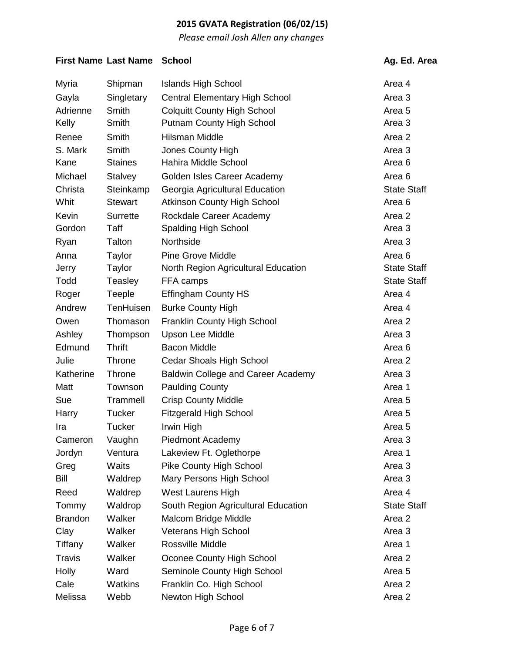*Please email Josh Allen any changes*

#### **First Name** Last Name School **Ag. Ed. Area**

| Myria          | Shipman         | <b>Islands High School</b>            | Area 4             |
|----------------|-----------------|---------------------------------------|--------------------|
| Gayla          | Singletary      | <b>Central Elementary High School</b> | Area 3             |
| Adrienne       | Smith           | <b>Colquitt County High School</b>    | Area <sub>5</sub>  |
| Kelly          | Smith           | <b>Putnam County High School</b>      | Area 3             |
| Renee          | Smith           | Hilsman Middle                        | Area 2             |
| S. Mark        | Smith           | Jones County High                     | Area 3             |
| Kane           | <b>Staines</b>  | Hahira Middle School                  | Area 6             |
| Michael        | <b>Stalvey</b>  | Golden Isles Career Academy           | Area 6             |
| Christa        | Steinkamp       | Georgia Agricultural Education        | <b>State Staff</b> |
| Whit           | <b>Stewart</b>  | <b>Atkinson County High School</b>    | Area 6             |
| Kevin          | <b>Surrette</b> | Rockdale Career Academy               | Area 2             |
| Gordon         | Taff            | <b>Spalding High School</b>           | Area 3             |
| Ryan           | Talton          | Northside                             | Area 3             |
| Anna           | Taylor          | <b>Pine Grove Middle</b>              | Area <sub>6</sub>  |
| Jerry          | Taylor          | North Region Agricultural Education   | <b>State Staff</b> |
| Todd           | Teasley         | FFA camps                             | <b>State Staff</b> |
| Roger          | <b>Teeple</b>   | <b>Effingham County HS</b>            | Area 4             |
| Andrew         | TenHuisen       | <b>Burke County High</b>              | Area 4             |
| Owen           | Thomason        | <b>Franklin County High School</b>    | Area 2             |
| Ashley         | Thompson        | <b>Upson Lee Middle</b>               | Area 3             |
| Edmund         | <b>Thrift</b>   | <b>Bacon Middle</b>                   | Area 6             |
| Julie          | Throne          | <b>Cedar Shoals High School</b>       | Area 2             |
| Katherine      | Throne          | Baldwin College and Career Academy    | Area 3             |
| Matt           | Townson         | <b>Paulding County</b>                | Area 1             |
| Sue            | Trammell        | <b>Crisp County Middle</b>            | Area 5             |
| Harry          | <b>Tucker</b>   | <b>Fitzgerald High School</b>         | Area 5             |
| Ira            | <b>Tucker</b>   | Irwin High                            | Area <sub>5</sub>  |
| Cameron        | Vaughn          | <b>Piedmont Academy</b>               | Area 3             |
| Jordyn         | Ventura         | Lakeview Ft. Oglethorpe               | Area 1             |
| Greg           | Waits           | <b>Pike County High School</b>        | Area 3             |
| Bill           | Waldrep         | Mary Persons High School              | Area 3             |
| Reed           | Waldrep         | <b>West Laurens High</b>              | Area 4             |
| Tommy          | Waldrop         | South Region Agricultural Education   | <b>State Staff</b> |
| <b>Brandon</b> | Walker          | Malcom Bridge Middle                  | Area 2             |
| Clay           | Walker          | <b>Veterans High School</b>           | Area 3             |
| Tiffany        | Walker          | Rossville Middle                      | Area 1             |
| <b>Travis</b>  | Walker          | Oconee County High School             | Area 2             |
| Holly          | Ward            | Seminole County High School           | Area <sub>5</sub>  |
| Cale           | Watkins         | Franklin Co. High School              | Area 2             |
| Melissa        | Webb            | Newton High School                    | Area 2             |